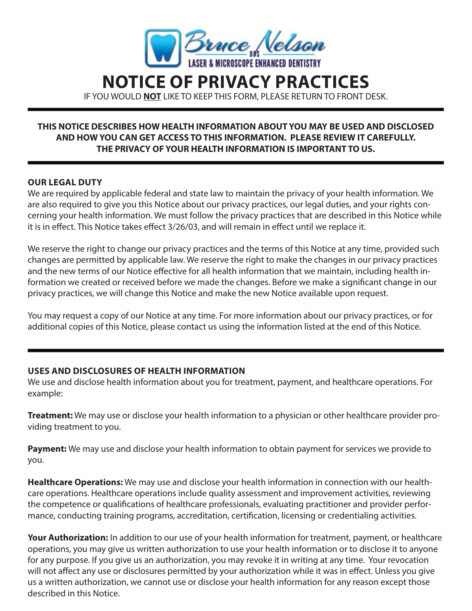

### **THIS NOTICE DESCRIBES HOW HEALTH INFORMATION ABOUT YOU MAY BE USED AND DISCLOSED AND HOW YOU CAN GET ACCESS TO THIS INFORMATION. PLEASE REVIEW IT CAREFULLY. THE PRIVACY OF YOUR HEALTH INFORMATION IS IMPORTANT TO US.**

## **OUR LEGAL DUTY**

We are required by applicable federal and state law to maintain the privacy of your health information. We are also required to give you this Notice about our privacy practices, our legal duties, and your rights concerning your health information. We must follow the privacy practices that are described in this Notice while it is in effect. This Notice takes effect 3/26/03, and will remain in effect until we replace it.

We reserve the right to change our privacy practices and the terms of this Notice at any time, provided such changes are permitted by applicable law. We reserve the right to make the changes in our privacy practices and the new terms of our Notice effective for all health information that we maintain, including health information we created or received before we made the changes. Before we make a significant change in our privacy practices, we will change this Notice and make the new Notice available upon request.

You may request a copy of our Notice at any time. For more information about our privacy practices, or for additional copies of this Notice, please contact us using the information listed at the end of this Notice.

# **USES AND DISCLOSURES OF HEALTH INFORMATION**

We use and disclose health information about you for treatment, payment, and healthcare operations. For example:

**Treatment:** We may use or disclose your health information to a physician or other healthcare provider providing treatment to you.

**Payment:** We may use and disclose your health information to obtain payment for services we provide to you.

**Healthcare Operations:** We may use and disclose your health information in connection with our healthcare operations. Healthcare operations include quality assessment and improvement activities, reviewing the competence or qualifications of healthcare professionals, evaluating practitioner and provider performance, conducting training programs, accreditation, certification, licensing or credentialing activities.

**Your Authorization:** In addition to our use of your health information for treatment, payment, or healthcare operations, you may give us written authorization to use your health information or to disclose it to anyone for any purpose. If you give us an authorization, you may revoke it in writing at any time. Your revocation will not affect any use or disclosures permitted by your authorization while it was in effect. Unless you give us a written authorization, we cannot use or disclose your health information for any reason except those described in this Notice.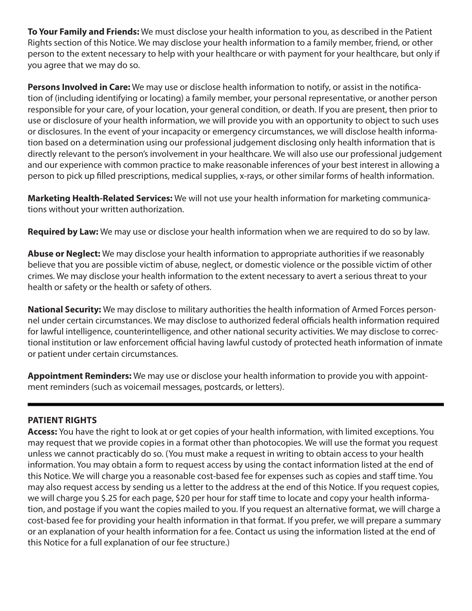**To Your Family and Friends:** We must disclose your health information to you, as described in the Patient Rights section of this Notice. We may disclose your health information to a family member, friend, or other person to the extent necessary to help with your healthcare or with payment for your healthcare, but only if you agree that we may do so.

**Persons Involved in Care:** We may use or disclose health information to notify, or assist in the notification of (including identifying or locating) a family member, your personal representative, or another person responsible for your care, of your location, your general condition, or death. If you are present, then prior to use or disclosure of your health information, we will provide you with an opportunity to object to such uses or disclosures. In the event of your incapacity or emergency circumstances, we will disclose health information based on a determination using our professional judgement disclosing only health information that is directly relevant to the person's involvement in your healthcare. We will also use our professional judgement and our experience with common practice to make reasonable inferences of your best interest in allowing a person to pick up filled prescriptions, medical supplies, x-rays, or other similar forms of health information.

**Marketing Health-Related Services:** We will not use your health information for marketing communications without your written authorization.

**Required by Law:** We may use or disclose your health information when we are required to do so by law.

**Abuse or Neglect:** We may disclose your health information to appropriate authorities if we reasonably believe that you are possible victim of abuse, neglect, or domestic violence or the possible victim of other crimes. We may disclose your health information to the extent necessary to avert a serious threat to your health or safety or the health or safety of others.

**National Security:** We may disclose to military authorities the health information of Armed Forces personnel under certain circumstances. We may disclose to authorized federal officials health information required for lawful intelligence, counterintelligence, and other national security activities. We may disclose to correctional institution or law enforcement official having lawful custody of protected heath information of inmate or patient under certain circumstances.

**Appointment Reminders:** We may use or disclose your health information to provide you with appointment reminders (such as voicemail messages, postcards, or letters).

### **PATIENT RIGHTS**

**Access:** You have the right to look at or get copies of your health information, with limited exceptions. You may request that we provide copies in a format other than photocopies. We will use the format you request unless we cannot practicably do so. (You must make a request in writing to obtain access to your health information. You may obtain a form to request access by using the contact information listed at the end of this Notice. We will charge you a reasonable cost-based fee for expenses such as copies and staff time. You may also request access by sending us a letter to the address at the end of this Notice. If you request copies, we will charge you \$.25 for each page, \$20 per hour for staff time to locate and copy your health information, and postage if you want the copies mailed to you. If you request an alternative format, we will charge a cost-based fee for providing your health information in that format. If you prefer, we will prepare a summary or an explanation of your health information for a fee. Contact us using the information listed at the end of this Notice for a full explanation of our fee structure.)